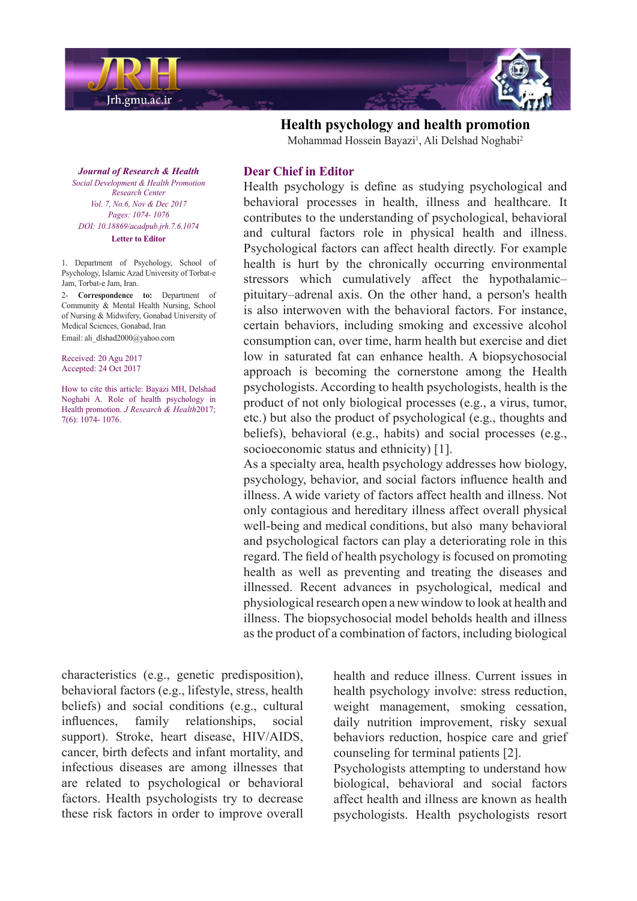

*Journal of Research & Health Promotion Health & Development Social Center Research Vol. 7, No.6, Nov & Dec 2017* Pages: 1074- 1076 *DOI*: 10.18869/acadpub.jrh.7.6.1074 **Letter** to Editor

1. Department of Psychology, School of Psychology, Islamic Azad University of Torbat-e Jam, Torbat-e Jam, Iran.

2- Correspondence to: Department of Community & Mental Health Nursing, School of Nursing & Midwifery, Gonabad University of Medical Sciences, Gonabad, Iran Email: ali dlshad2000@yahoo.com

Received: 20 Agu 2017 Accepted: 24 Oct 2017

How to cite this article: Bayazi MH, Delshad Noghabi A. Role of health psychology in Health promotion. *J Research & Health*2017; 7(6): 1074- 1076.

## **Dear Chief in Editor**

Health psychology is define as studying psychological and behavioral processes in health, illness and healthcare. It contributes to the understanding of psychological, behavioral and cultural factors role in physical health and illness. Psychological factors can affect health directly. For example health is hurt by the chronically occurring environmental stressors which cumulatively affect the hypothalamicpituitary-adrenal axis. On the other hand, a person's health is also interwoven with the behavioral factors. For instance, certain behaviors, including smoking and excessive alcohol consumption can, over time, harm health but exercise and diet low in saturated fat can enhance health. A biopsychosocial approach is becoming the cornerstone among the Health psychologists. According to health psychologists, health is the product of not only biological processes (e.g., a virus, tumor, etc.) but also the product of psychological (e.g., thoughts and beliefs), behavioral (e.g., habits) and social processes (e.g., socioeconomic status and ethnicity)  $[1]$ .

**Health psychology and health promotion** Mohammad Hossein Bayazi<sup>1</sup>, Ali Delshad Noghabi<sup>2</sup>

As a specialty area, health psychology addresses how biology, psychology, behavior, and social factors influence health and illness. A wide variety of factors affect health and illness. Not only contagious and hereditary illness affect overall physical well-being and medical conditions, but also many behavioral and psychological factors can play a deteriorating role in this regard. The field of health psychology is focused on promoting health as well as preventing and treating the diseases and illnessed. Recent advances in psychological, medical and physiological research open a new window to look at health and illness. The biopsychosocial model beholds health and illness as the product of a combination of factors, including biological

 $characteristics (e.g., genetic predisposition),$ behavioral factors (e.g., lifestyle, stress, health beliefs) and social conditions (e.g., cultural influences, family relationships, social support). Stroke, heart disease, HIV/AIDS, cancer, birth defects and infant mortality, and infectious diseases are among illnesses that are related to psychological or behavioral factors. Health psychologists try to decrease these risk factors in order to improve overall health and reduce illness. Current issues in health psychology involve: stress reduction, weight management, smoking cessation, daily nutrition improvement, risky sexual behaviors reduction, hospice care and grief counseling for terminal patients [2].

Psychologists attempting to understand how biological, behavioral and social factors affect health and illness are known as health psychologists. Health psychologists resort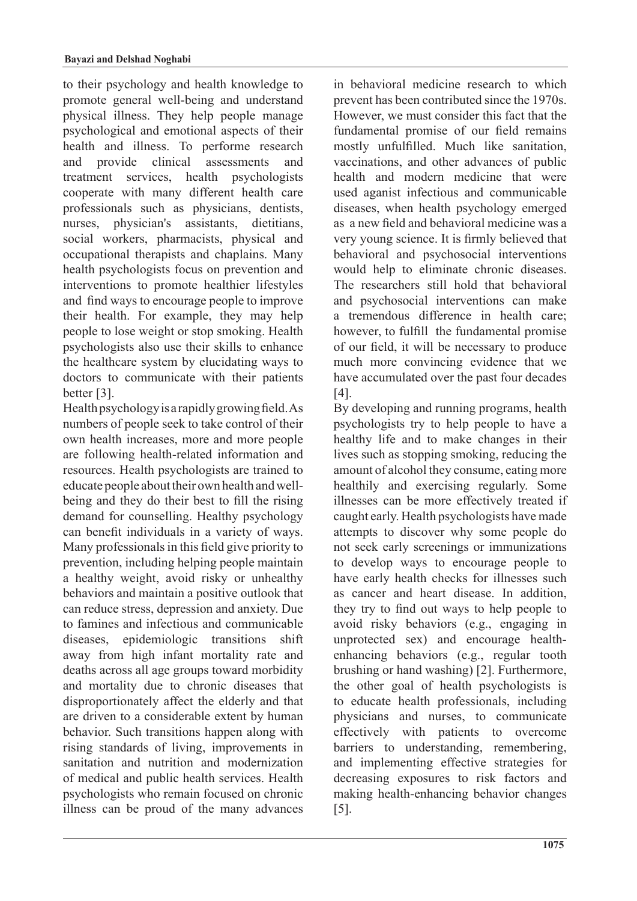to their psychology and health knowledge to promote general well-being and understand physical illness. They help people manage psychological and emotional aspects of their health and illness. To performe research and provide clinical assessments and treatment services, health psychologists cooperate with many different health care professionals such as physicians, dentists, nurses, physician's assistants, dietitians, social workers, pharmacists, physical and occupational therapists and chaplains. Many health psychologists focus on prevention and interventions to promote healthier lifestyles and find ways to encourage people to improve their health. For example, they may help people to lose weight or stop smoking. Health psychologists also use their skills to enhance the healthcare system by elucidating ways to doctors to communicate with their patients better [3].

Health psychology is a rapidly growing field. As numbers of people seek to take control of their own health increases, more and more people are following health-related information and resources. Health psychologists are trained to being and they do their best to fill the risingeducate people about their own health and welldemand for counselling. Healthy psychology can benefit individuals in a variety of ways. Many professionals in this field give priority to prevention, including helping people maintain a healthy weight, avoid risky or unhealthy behaviors and maintain a positive outlook that can reduce stress, depression and anxiety. Due to famines and infectious and communicable diseases, epidemiologic transitions shift away from high infant mortality rate and deaths across all age groups toward morbidity and mortality due to chronic diseases that disproportionately affect the elderly and that are driven to a considerable extent by human behavior. Such transitions happen along with rising standards of living, improvements in sanitation and nutrition and modernization of medical and public health services. Health psychologists who remain focused on chronic illness can be proud of the many advances in behavioral medicine research to which prevent has been contributed since the 1970s. However, we must consider this fact that the fundamental promise of our field remains mostly unfulfilled. Much like sanitation, vaccinations, and other advances of public health and modern medicine that were used aganist infectious and communicable diseases, when health psychology emerged as a new field and behavioral medicine was a very young science. It is firmly believed that behavioral and psychosocial interventions would help to eliminate chronic diseases. The researchers still hold that behavioral and psychosocial interventions can make a tremendous difference in health care; however, to fulfill the fundamental promise of our field, it will be necessary to produce much more convincing evidence that we have accumulated over the past four decades .[4]

By developing and running programs, health psychologists try to help people to have a healthy life and to make changes in their lives such as stopping smoking, reducing the amount of alcohol they consume, eating more healthily and exercising regularly. Some illnesses can be more effectively treated if caught early. Health psychologists have made attempts to discover why some people do not seek early screenings or immunizations to develop ways to encourage people to have early health checks for illnesses such as cancer and heart disease. In addition, they try to find out ways to help people to avoid risky behaviors (e.g., engaging in enhancing behaviors  $(e.g., regular tooth)$ unprotected sex) and encourage healthbrushing or hand washing  $[2]$ . Furthermore, the other goal of health psychologists is to educate health professionals, including physicians and nurses, to communicate effectively with patients to overcome barriers to understanding, remembering, and implementing effective strategies for decreasing exposures to risk factors and making health-enhancing behavior changes  $[5]$ .